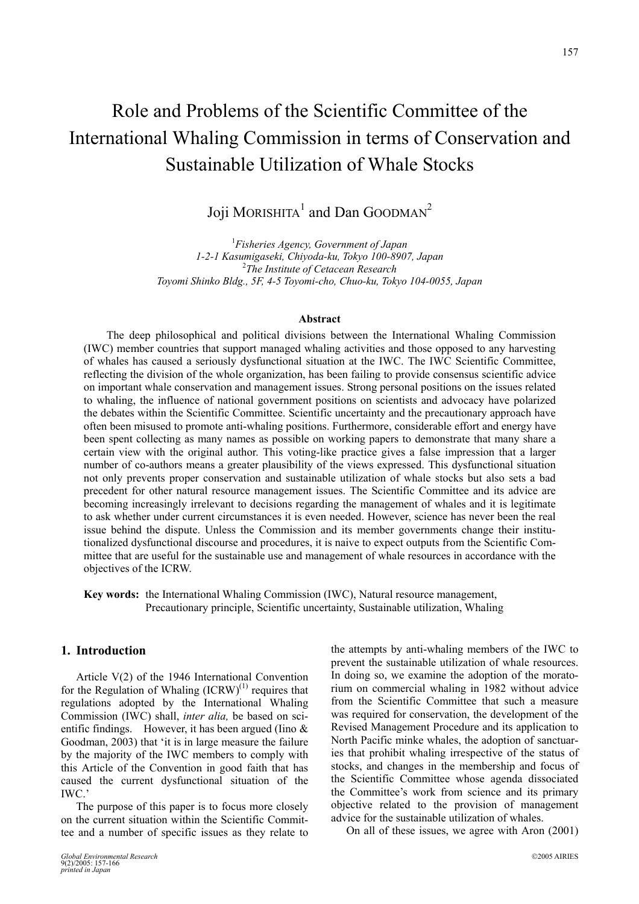# Role and Problems of the Scientific Committee of the International Whaling Commission in terms of Conservation and Sustainable Utilization of Whale Stocks

Joji MORISHITA $^1$  and Dan GOODMAN<sup>2</sup>

1 *Fisheries Agency, Government of Japan 1-2-1 Kasumigaseki, Chiyoda-ku, Tokyo 100-8907, Japan* <sup>2</sup> *The Institute of Cetacean Research Toyomi Shinko Bldg., 5F, 4-5 Toyomi-cho, Chuo-ku, Tokyo 104-0055, Japan* 

## **Abstract**

The deep philosophical and political divisions between the International Whaling Commission (IWC) member countries that support managed whaling activities and those opposed to any harvesting of whales has caused a seriously dysfunctional situation at the IWC. The IWC Scientific Committee, reflecting the division of the whole organization, has been failing to provide consensus scientific advice on important whale conservation and management issues. Strong personal positions on the issues related to whaling, the influence of national government positions on scientists and advocacy have polarized the debates within the Scientific Committee. Scientific uncertainty and the precautionary approach have often been misused to promote anti-whaling positions. Furthermore, considerable effort and energy have been spent collecting as many names as possible on working papers to demonstrate that many share a certain view with the original author. This voting-like practice gives a false impression that a larger number of co-authors means a greater plausibility of the views expressed. This dysfunctional situation not only prevents proper conservation and sustainable utilization of whale stocks but also sets a bad precedent for other natural resource management issues. The Scientific Committee and its advice are becoming increasingly irrelevant to decisions regarding the management of whales and it is legitimate to ask whether under current circumstances it is even needed. However, science has never been the real issue behind the dispute. Unless the Commission and its member governments change their institutionalized dysfunctional discourse and procedures, it is naive to expect outputs from the Scientific Committee that are useful for the sustainable use and management of whale resources in accordance with the objectives of the ICRW.

**Key words:** the International Whaling Commission (IWC), Natural resource management, Precautionary principle, Scientific uncertainty, Sustainable utilization, Whaling

# **1. Introduction**

Article V(2) of the 1946 International Convention for the Regulation of Whaling  $(ICRW)^{(1)}$  requires that regulations adopted by the International Whaling Commission (IWC) shall, *inter alia,* be based on scientific findings. However, it has been argued (Iino & Goodman, 2003) that 'it is in large measure the failure by the majority of the IWC members to comply with this Article of the Convention in good faith that has caused the current dysfunctional situation of the IWC.'

The purpose of this paper is to focus more closely on the current situation within the Scientific Committee and a number of specific issues as they relate to

the attempts by anti-whaling members of the IWC to prevent the sustainable utilization of whale resources. In doing so, we examine the adoption of the moratorium on commercial whaling in 1982 without advice from the Scientific Committee that such a measure was required for conservation, the development of the Revised Management Procedure and its application to North Pacific minke whales, the adoption of sanctuaries that prohibit whaling irrespective of the status of stocks, and changes in the membership and focus of the Scientific Committee whose agenda dissociated the Committee's work from science and its primary objective related to the provision of management advice for the sustainable utilization of whales.

On all of these issues, we agree with Aron (2001)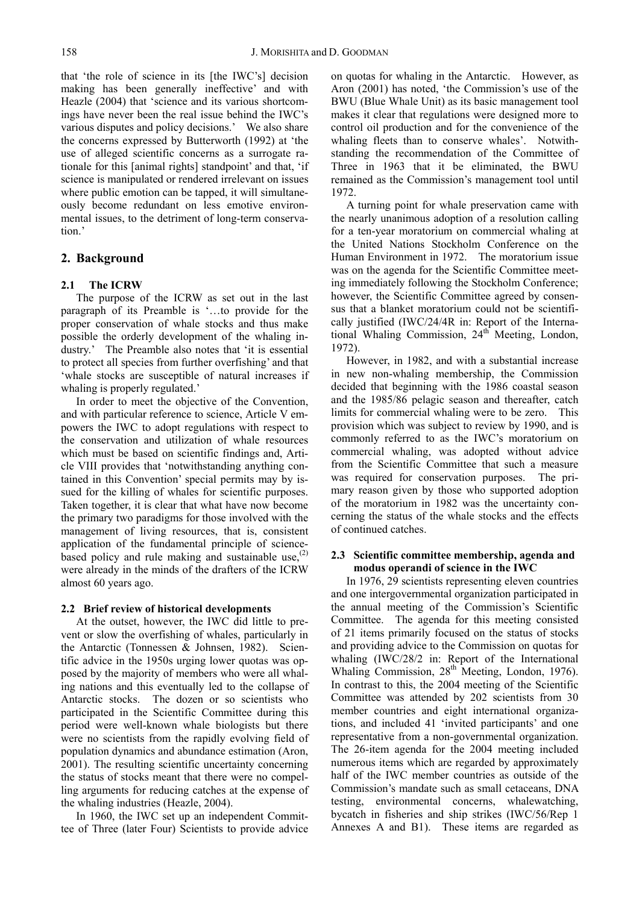that 'the role of science in its [the IWC's] decision making has been generally ineffective' and with Heazle (2004) that 'science and its various shortcomings have never been the real issue behind the IWC's various disputes and policy decisions.' We also share the concerns expressed by Butterworth (1992) at 'the use of alleged scientific concerns as a surrogate rationale for this [animal rights] standpoint' and that, 'if science is manipulated or rendered irrelevant on issues where public emotion can be tapped, it will simultaneously become redundant on less emotive environmental issues, to the detriment of long-term conservation.'

# **2. Background**

# **2.1 The ICRW**

The purpose of the ICRW as set out in the last paragraph of its Preamble is '…to provide for the proper conservation of whale stocks and thus make possible the orderly development of the whaling industry.' The Preamble also notes that 'it is essential to protect all species from further overfishing' and that 'whale stocks are susceptible of natural increases if whaling is properly regulated.'

In order to meet the objective of the Convention, and with particular reference to science, Article V empowers the IWC to adopt regulations with respect to the conservation and utilization of whale resources which must be based on scientific findings and, Article VIII provides that 'notwithstanding anything contained in this Convention' special permits may by issued for the killing of whales for scientific purposes. Taken together, it is clear that what have now become the primary two paradigms for those involved with the management of living resources, that is, consistent application of the fundamental principle of sciencebased policy and rule making and sustainable use, $(2)$ were already in the minds of the drafters of the ICRW almost 60 years ago.

# **2.2 Brief review of historical developments**

At the outset, however, the IWC did little to prevent or slow the overfishing of whales, particularly in the Antarctic (Tonnessen & Johnsen, 1982). Scientific advice in the 1950s urging lower quotas was opposed by the majority of members who were all whaling nations and this eventually led to the collapse of Antarctic stocks. The dozen or so scientists who participated in the Scientific Committee during this period were well-known whale biologists but there were no scientists from the rapidly evolving field of population dynamics and abundance estimation (Aron, 2001). The resulting scientific uncertainty concerning the status of stocks meant that there were no compelling arguments for reducing catches at the expense of the whaling industries (Heazle, 2004).

In 1960, the IWC set up an independent Committee of Three (later Four) Scientists to provide advice on quotas for whaling in the Antarctic. However, as Aron (2001) has noted, 'the Commission's use of the BWU (Blue Whale Unit) as its basic management tool makes it clear that regulations were designed more to control oil production and for the convenience of the whaling fleets than to conserve whales'. Notwithstanding the recommendation of the Committee of Three in 1963 that it be eliminated, the BWU remained as the Commission's management tool until 1972.

A turning point for whale preservation came with the nearly unanimous adoption of a resolution calling for a ten-year moratorium on commercial whaling at the United Nations Stockholm Conference on the Human Environment in 1972. The moratorium issue was on the agenda for the Scientific Committee meeting immediately following the Stockholm Conference; however, the Scientific Committee agreed by consensus that a blanket moratorium could not be scientifically justified (IWC/24/4R in: Report of the International Whaling Commission,  $24<sup>th</sup>$  Meeting, London, 1972).

However, in 1982, and with a substantial increase in new non-whaling membership, the Commission decided that beginning with the 1986 coastal season and the 1985/86 pelagic season and thereafter, catch limits for commercial whaling were to be zero. This provision which was subject to review by 1990, and is commonly referred to as the IWC's moratorium on commercial whaling, was adopted without advice from the Scientific Committee that such a measure was required for conservation purposes. The primary reason given by those who supported adoption of the moratorium in 1982 was the uncertainty concerning the status of the whale stocks and the effects of continued catches.

## **2.3 Scientific committee membership, agenda and modus operandi of science in the IWC**

In 1976, 29 scientists representing eleven countries and one intergovernmental organization participated in the annual meeting of the Commission's Scientific Committee. The agenda for this meeting consisted of 21 items primarily focused on the status of stocks and providing advice to the Commission on quotas for whaling (IWC/28/2 in: Report of the International Whaling Commission, 28<sup>th</sup> Meeting, London, 1976). In contrast to this, the 2004 meeting of the Scientific Committee was attended by 202 scientists from 30 member countries and eight international organizations, and included 41 'invited participants' and one representative from a non-governmental organization. The 26-item agenda for the 2004 meeting included numerous items which are regarded by approximately half of the IWC member countries as outside of the Commission's mandate such as small cetaceans, DNA testing, environmental concerns, whalewatching, bycatch in fisheries and ship strikes (IWC/56/Rep 1 Annexes A and B1). These items are regarded as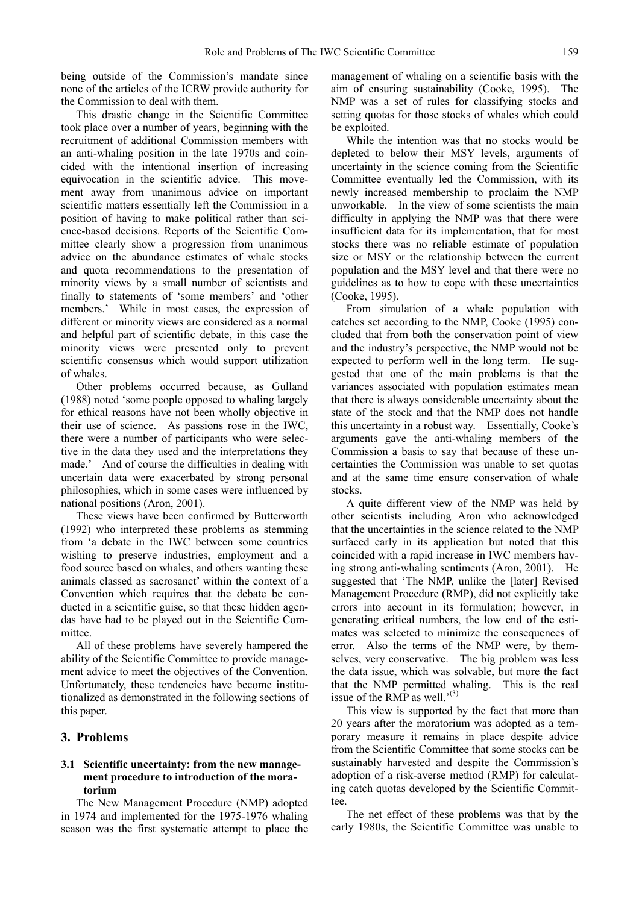being outside of the Commission's mandate since none of the articles of the ICRW provide authority for the Commission to deal with them.

This drastic change in the Scientific Committee took place over a number of years, beginning with the recruitment of additional Commission members with an anti-whaling position in the late 1970s and coincided with the intentional insertion of increasing equivocation in the scientific advice. This movement away from unanimous advice on important scientific matters essentially left the Commission in a position of having to make political rather than science-based decisions. Reports of the Scientific Committee clearly show a progression from unanimous advice on the abundance estimates of whale stocks and quota recommendations to the presentation of minority views by a small number of scientists and finally to statements of 'some members' and 'other members.' While in most cases, the expression of different or minority views are considered as a normal and helpful part of scientific debate, in this case the minority views were presented only to prevent scientific consensus which would support utilization of whales.

Other problems occurred because, as Gulland (1988) noted 'some people opposed to whaling largely for ethical reasons have not been wholly objective in their use of science. As passions rose in the IWC, there were a number of participants who were selective in the data they used and the interpretations they made.' And of course the difficulties in dealing with uncertain data were exacerbated by strong personal philosophies, which in some cases were influenced by national positions (Aron, 2001).

These views have been confirmed by Butterworth (1992) who interpreted these problems as stemming from 'a debate in the IWC between some countries wishing to preserve industries, employment and a food source based on whales, and others wanting these animals classed as sacrosanct' within the context of a Convention which requires that the debate be conducted in a scientific guise, so that these hidden agendas have had to be played out in the Scientific Committee.

All of these problems have severely hampered the ability of the Scientific Committee to provide management advice to meet the objectives of the Convention. Unfortunately, these tendencies have become institutionalized as demonstrated in the following sections of this paper.

## **3. Problems**

## **3.1 Scientific uncertainty: from the new management procedure to introduction of the moratorium**

The New Management Procedure (NMP) adopted in 1974 and implemented for the 1975-1976 whaling season was the first systematic attempt to place the management of whaling on a scientific basis with the aim of ensuring sustainability (Cooke, 1995). The NMP was a set of rules for classifying stocks and setting quotas for those stocks of whales which could be exploited.

While the intention was that no stocks would be depleted to below their MSY levels, arguments of uncertainty in the science coming from the Scientific Committee eventually led the Commission, with its newly increased membership to proclaim the NMP unworkable. In the view of some scientists the main difficulty in applying the NMP was that there were insufficient data for its implementation, that for most stocks there was no reliable estimate of population size or MSY or the relationship between the current population and the MSY level and that there were no guidelines as to how to cope with these uncertainties (Cooke, 1995).

From simulation of a whale population with catches set according to the NMP, Cooke (1995) concluded that from both the conservation point of view and the industry's perspective, the NMP would not be expected to perform well in the long term. He suggested that one of the main problems is that the variances associated with population estimates mean that there is always considerable uncertainty about the state of the stock and that the NMP does not handle this uncertainty in a robust way. Essentially, Cooke's arguments gave the anti-whaling members of the Commission a basis to say that because of these uncertainties the Commission was unable to set quotas and at the same time ensure conservation of whale stocks.

A quite different view of the NMP was held by other scientists including Aron who acknowledged that the uncertainties in the science related to the NMP surfaced early in its application but noted that this coincided with a rapid increase in IWC members having strong anti-whaling sentiments (Aron, 2001). He suggested that 'The NMP, unlike the [later] Revised Management Procedure (RMP), did not explicitly take errors into account in its formulation; however, in generating critical numbers, the low end of the estimates was selected to minimize the consequences of error. Also the terms of the NMP were, by themselves, very conservative. The big problem was less the data issue, which was solvable, but more the fact that the NMP permitted whaling. This is the real issue of the RMP as well.'(3)

This view is supported by the fact that more than 20 years after the moratorium was adopted as a temporary measure it remains in place despite advice from the Scientific Committee that some stocks can be sustainably harvested and despite the Commission's adoption of a risk-averse method (RMP) for calculating catch quotas developed by the Scientific Committee.

The net effect of these problems was that by the early 1980s, the Scientific Committee was unable to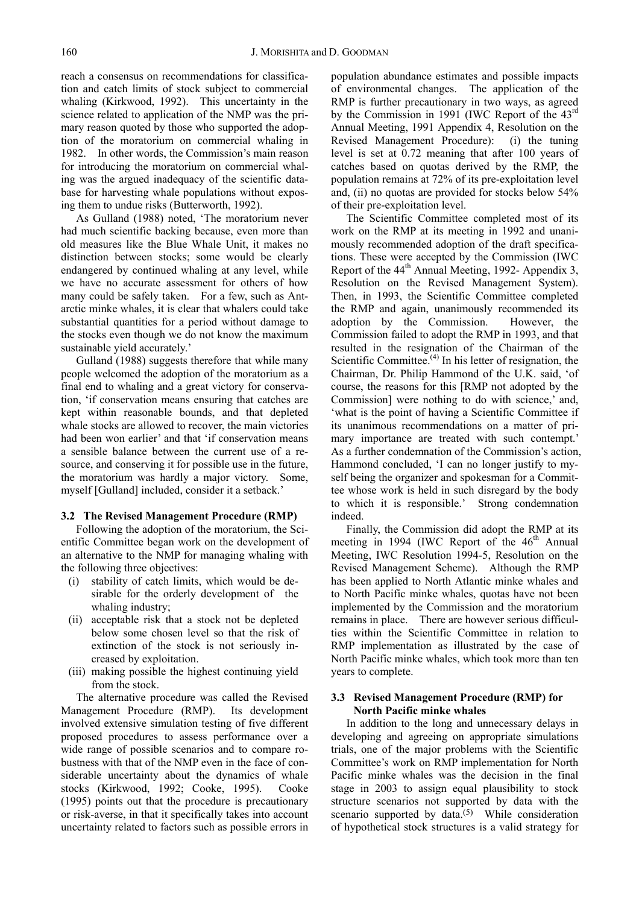reach a consensus on recommendations for classification and catch limits of stock subject to commercial whaling (Kirkwood, 1992). This uncertainty in the science related to application of the NMP was the primary reason quoted by those who supported the adoption of the moratorium on commercial whaling in 1982. In other words, the Commission's main reason for introducing the moratorium on commercial whaling was the argued inadequacy of the scientific database for harvesting whale populations without exposing them to undue risks (Butterworth, 1992).

As Gulland (1988) noted, 'The moratorium never had much scientific backing because, even more than old measures like the Blue Whale Unit, it makes no distinction between stocks; some would be clearly endangered by continued whaling at any level, while we have no accurate assessment for others of how many could be safely taken. For a few, such as Antarctic minke whales, it is clear that whalers could take substantial quantities for a period without damage to the stocks even though we do not know the maximum sustainable yield accurately.'

Gulland (1988) suggests therefore that while many people welcomed the adoption of the moratorium as a final end to whaling and a great victory for conservation, 'if conservation means ensuring that catches are kept within reasonable bounds, and that depleted whale stocks are allowed to recover, the main victories had been won earlier' and that 'if conservation means a sensible balance between the current use of a resource, and conserving it for possible use in the future, the moratorium was hardly a major victory. Some, myself [Gulland] included, consider it a setback.'

## **3.2 The Revised Management Procedure (RMP)**

Following the adoption of the moratorium, the Scientific Committee began work on the development of an alternative to the NMP for managing whaling with the following three objectives:

- (i) stability of catch limits, which would be desirable for the orderly development of the whaling industry;
- (ii) acceptable risk that a stock not be depleted below some chosen level so that the risk of extinction of the stock is not seriously increased by exploitation.
- (iii) making possible the highest continuing yield from the stock.

The alternative procedure was called the Revised Management Procedure (RMP). Its development involved extensive simulation testing of five different proposed procedures to assess performance over a wide range of possible scenarios and to compare robustness with that of the NMP even in the face of considerable uncertainty about the dynamics of whale stocks (Kirkwood, 1992; Cooke, 1995). Cooke (1995) points out that the procedure is precautionary or risk-averse, in that it specifically takes into account uncertainty related to factors such as possible errors in

population abundance estimates and possible impacts of environmental changes. The application of the RMP is further precautionary in two ways, as agreed by the Commission in 1991 (IWC Report of the 43rd Annual Meeting, 1991 Appendix 4, Resolution on the Revised Management Procedure): (i) the tuning level is set at 0.72 meaning that after 100 years of catches based on quotas derived by the RMP, the population remains at 72% of its pre-exploitation level and, (ii) no quotas are provided for stocks below 54% of their pre-exploitation level.

The Scientific Committee completed most of its work on the RMP at its meeting in 1992 and unanimously recommended adoption of the draft specifications. These were accepted by the Commission (IWC Report of the  $44<sup>th</sup>$  Annual Meeting, 1992- Appendix 3, Resolution on the Revised Management System). Then, in 1993, the Scientific Committee completed the RMP and again, unanimously recommended its adoption by the Commission. However, the Commission failed to adopt the RMP in 1993, and that resulted in the resignation of the Chairman of the Scientific Committee.<sup>(4)</sup> In his letter of resignation, the Chairman, Dr. Philip Hammond of the U.K. said, 'of course, the reasons for this [RMP not adopted by the Commission] were nothing to do with science,' and, 'what is the point of having a Scientific Committee if its unanimous recommendations on a matter of primary importance are treated with such contempt.' As a further condemnation of the Commission's action, Hammond concluded, 'I can no longer justify to myself being the organizer and spokesman for a Committee whose work is held in such disregard by the body to which it is responsible.' Strong condemnation indeed.

Finally, the Commission did adopt the RMP at its meeting in 1994 (IWC Report of the 46<sup>th</sup> Annual Meeting, IWC Resolution 1994-5, Resolution on the Revised Management Scheme). Although the RMP has been applied to North Atlantic minke whales and to North Pacific minke whales, quotas have not been implemented by the Commission and the moratorium remains in place. There are however serious difficulties within the Scientific Committee in relation to RMP implementation as illustrated by the case of North Pacific minke whales, which took more than ten years to complete.

# **3.3 Revised Management Procedure (RMP) for North Pacific minke whales**

In addition to the long and unnecessary delays in developing and agreeing on appropriate simulations trials, one of the major problems with the Scientific Committee's work on RMP implementation for North Pacific minke whales was the decision in the final stage in 2003 to assign equal plausibility to stock structure scenarios not supported by data with the scenario supported by data.<sup>(5)</sup> While consideration of hypothetical stock structures is a valid strategy for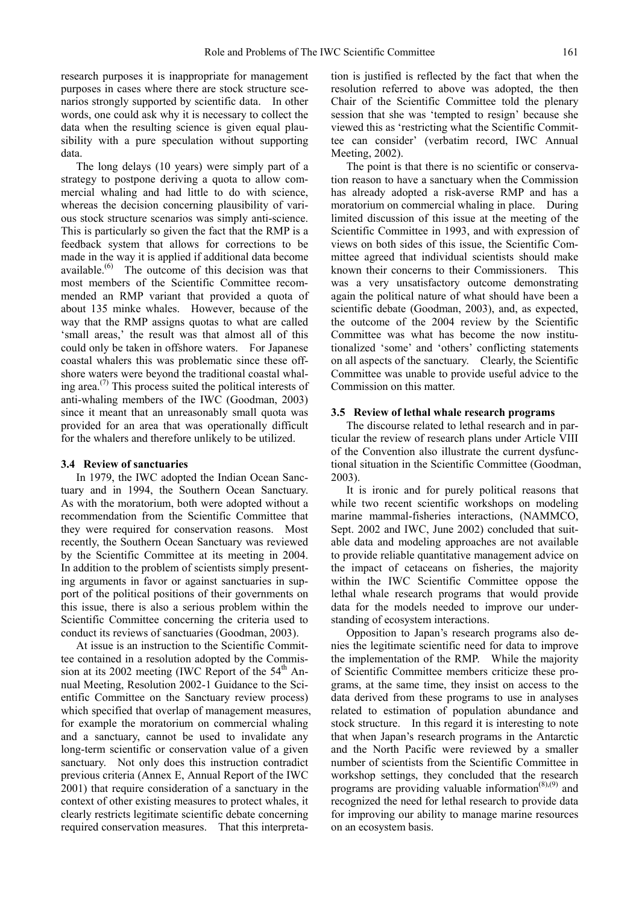research purposes it is inappropriate for management purposes in cases where there are stock structure scenarios strongly supported by scientific data. In other words, one could ask why it is necessary to collect the data when the resulting science is given equal plausibility with a pure speculation without supporting data.

The long delays (10 years) were simply part of a strategy to postpone deriving a quota to allow commercial whaling and had little to do with science, whereas the decision concerning plausibility of various stock structure scenarios was simply anti-science. This is particularly so given the fact that the RMP is a feedback system that allows for corrections to be made in the way it is applied if additional data become available.<sup>(6)</sup> The outcome of this decision was that most members of the Scientific Committee recommended an RMP variant that provided a quota of about 135 minke whales. However, because of the way that the RMP assigns quotas to what are called 'small areas,' the result was that almost all of this could only be taken in offshore waters. For Japanese coastal whalers this was problematic since these offshore waters were beyond the traditional coastal whaling area.<sup> $(7)$ </sup> This process suited the political interests of anti-whaling members of the IWC (Goodman, 2003) since it meant that an unreasonably small quota was provided for an area that was operationally difficult for the whalers and therefore unlikely to be utilized.

# **3.4 Review of sanctuaries**

In 1979, the IWC adopted the Indian Ocean Sanctuary and in 1994, the Southern Ocean Sanctuary. As with the moratorium, both were adopted without a recommendation from the Scientific Committee that they were required for conservation reasons. Most recently, the Southern Ocean Sanctuary was reviewed by the Scientific Committee at its meeting in 2004. In addition to the problem of scientists simply presenting arguments in favor or against sanctuaries in support of the political positions of their governments on this issue, there is also a serious problem within the Scientific Committee concerning the criteria used to conduct its reviews of sanctuaries (Goodman, 2003).

At issue is an instruction to the Scientific Committee contained in a resolution adopted by the Commission at its 2002 meeting (IWC Report of the  $54<sup>th</sup>$  Annual Meeting, Resolution 2002-1 Guidance to the Scientific Committee on the Sanctuary review process) which specified that overlap of management measures, for example the moratorium on commercial whaling and a sanctuary, cannot be used to invalidate any long-term scientific or conservation value of a given sanctuary. Not only does this instruction contradict previous criteria (Annex E, Annual Report of the IWC 2001) that require consideration of a sanctuary in the context of other existing measures to protect whales, it clearly restricts legitimate scientific debate concerning required conservation measures. That this interpretation is justified is reflected by the fact that when the resolution referred to above was adopted, the then Chair of the Scientific Committee told the plenary session that she was 'tempted to resign' because she viewed this as 'restricting what the Scientific Committee can consider' (verbatim record, IWC Annual Meeting, 2002).

The point is that there is no scientific or conservation reason to have a sanctuary when the Commission has already adopted a risk-averse RMP and has a moratorium on commercial whaling in place. During limited discussion of this issue at the meeting of the Scientific Committee in 1993, and with expression of views on both sides of this issue, the Scientific Committee agreed that individual scientists should make known their concerns to their Commissioners. This was a very unsatisfactory outcome demonstrating again the political nature of what should have been a scientific debate (Goodman, 2003), and, as expected, the outcome of the 2004 review by the Scientific Committee was what has become the now institutionalized 'some' and 'others' conflicting statements on all aspects of the sanctuary. Clearly, the Scientific Committee was unable to provide useful advice to the Commission on this matter.

#### **3.5 Review of lethal whale research programs**

The discourse related to lethal research and in particular the review of research plans under Article VIII of the Convention also illustrate the current dysfunctional situation in the Scientific Committee (Goodman, 2003).

It is ironic and for purely political reasons that while two recent scientific workshops on modeling marine mammal-fisheries interactions, (NAMMCO, Sept. 2002 and IWC, June 2002) concluded that suitable data and modeling approaches are not available to provide reliable quantitative management advice on the impact of cetaceans on fisheries, the majority within the IWC Scientific Committee oppose the lethal whale research programs that would provide data for the models needed to improve our understanding of ecosystem interactions.

Opposition to Japan's research programs also denies the legitimate scientific need for data to improve the implementation of the RMP. While the majority of Scientific Committee members criticize these programs, at the same time, they insist on access to the data derived from these programs to use in analyses related to estimation of population abundance and stock structure. In this regard it is interesting to note that when Japan's research programs in the Antarctic and the North Pacific were reviewed by a smaller number of scientists from the Scientific Committee in workshop settings, they concluded that the research programs are providing valuable information<sup>(8),(9)</sup> and recognized the need for lethal research to provide data for improving our ability to manage marine resources on an ecosystem basis.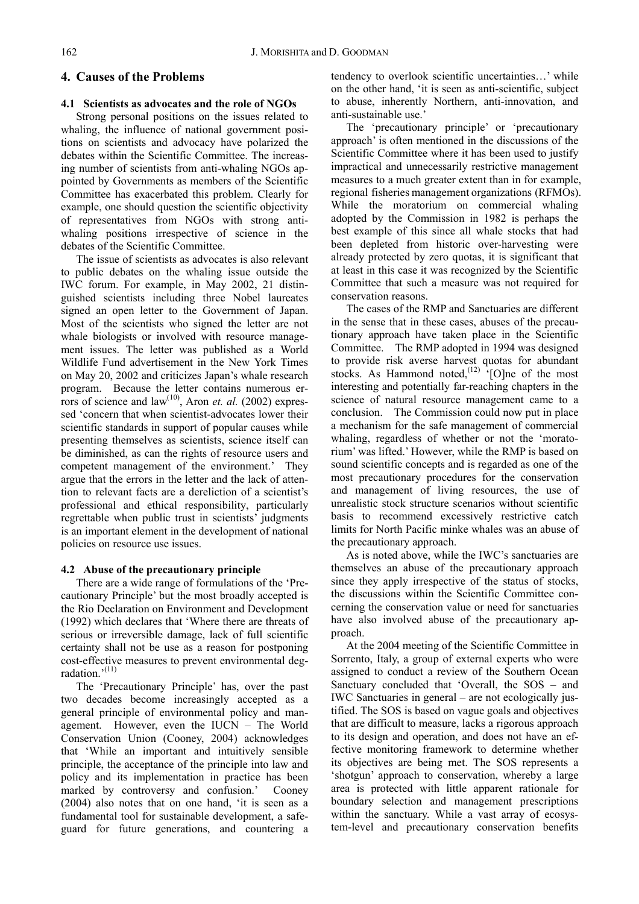# **4. Causes of the Problems**

# **4.1 Scientists as advocates and the role of NGOs**

Strong personal positions on the issues related to whaling, the influence of national government positions on scientists and advocacy have polarized the debates within the Scientific Committee. The increasing number of scientists from anti-whaling NGOs appointed by Governments as members of the Scientific Committee has exacerbated this problem. Clearly for example, one should question the scientific objectivity of representatives from NGOs with strong antiwhaling positions irrespective of science in the debates of the Scientific Committee.

The issue of scientists as advocates is also relevant to public debates on the whaling issue outside the IWC forum. For example, in May 2002, 21 distinguished scientists including three Nobel laureates signed an open letter to the Government of Japan. Most of the scientists who signed the letter are not whale biologists or involved with resource management issues. The letter was published as a World Wildlife Fund advertisement in the New York Times on May 20, 2002 and criticizes Japan's whale research program. Because the letter contains numerous errors of science and  $law^{(10)}$ , Aron *et. al.* (2002) expressed 'concern that when scientist-advocates lower their scientific standards in support of popular causes while presenting themselves as scientists, science itself can be diminished, as can the rights of resource users and competent management of the environment.' They argue that the errors in the letter and the lack of attention to relevant facts are a dereliction of a scientist's professional and ethical responsibility, particularly regrettable when public trust in scientists' judgments is an important element in the development of national policies on resource use issues.

# **4.2 Abuse of the precautionary principle**

There are a wide range of formulations of the 'Precautionary Principle' but the most broadly accepted is the Rio Declaration on Environment and Development (1992) which declares that 'Where there are threats of serious or irreversible damage, lack of full scientific certainty shall not be use as a reason for postponing cost-effective measures to prevent environmental degradation $^{(11)}$ 

The 'Precautionary Principle' has, over the past two decades become increasingly accepted as a general principle of environmental policy and management. However, even the IUCN – The World Conservation Union (Cooney, 2004) acknowledges that 'While an important and intuitively sensible principle, the acceptance of the principle into law and policy and its implementation in practice has been marked by controversy and confusion.' Cooney (2004) also notes that on one hand, 'it is seen as a fundamental tool for sustainable development, a safeguard for future generations, and countering a tendency to overlook scientific uncertainties…' while on the other hand, 'it is seen as anti-scientific, subject to abuse, inherently Northern, anti-innovation, and anti-sustainable use.'

The 'precautionary principle' or 'precautionary approach' is often mentioned in the discussions of the Scientific Committee where it has been used to justify impractical and unnecessarily restrictive management measures to a much greater extent than in for example, regional fisheries management organizations (RFMOs). While the moratorium on commercial whaling adopted by the Commission in 1982 is perhaps the best example of this since all whale stocks that had been depleted from historic over-harvesting were already protected by zero quotas, it is significant that at least in this case it was recognized by the Scientific Committee that such a measure was not required for conservation reasons.

The cases of the RMP and Sanctuaries are different in the sense that in these cases, abuses of the precautionary approach have taken place in the Scientific Committee. The RMP adopted in 1994 was designed to provide risk averse harvest quotas for abundant stocks. As Hammond noted, $^{(12)}$  '[O]ne of the most interesting and potentially far-reaching chapters in the science of natural resource management came to a conclusion. The Commission could now put in place a mechanism for the safe management of commercial whaling, regardless of whether or not the 'moratorium' was lifted.' However, while the RMP is based on sound scientific concepts and is regarded as one of the most precautionary procedures for the conservation and management of living resources, the use of unrealistic stock structure scenarios without scientific basis to recommend excessively restrictive catch limits for North Pacific minke whales was an abuse of the precautionary approach.

As is noted above, while the IWC's sanctuaries are themselves an abuse of the precautionary approach since they apply irrespective of the status of stocks, the discussions within the Scientific Committee concerning the conservation value or need for sanctuaries have also involved abuse of the precautionary approach.

At the 2004 meeting of the Scientific Committee in Sorrento, Italy, a group of external experts who were assigned to conduct a review of the Southern Ocean Sanctuary concluded that 'Overall, the SOS – and IWC Sanctuaries in general – are not ecologically justified. The SOS is based on vague goals and objectives that are difficult to measure, lacks a rigorous approach to its design and operation, and does not have an effective monitoring framework to determine whether its objectives are being met. The SOS represents a 'shotgun' approach to conservation, whereby a large area is protected with little apparent rationale for boundary selection and management prescriptions within the sanctuary. While a vast array of ecosystem-level and precautionary conservation benefits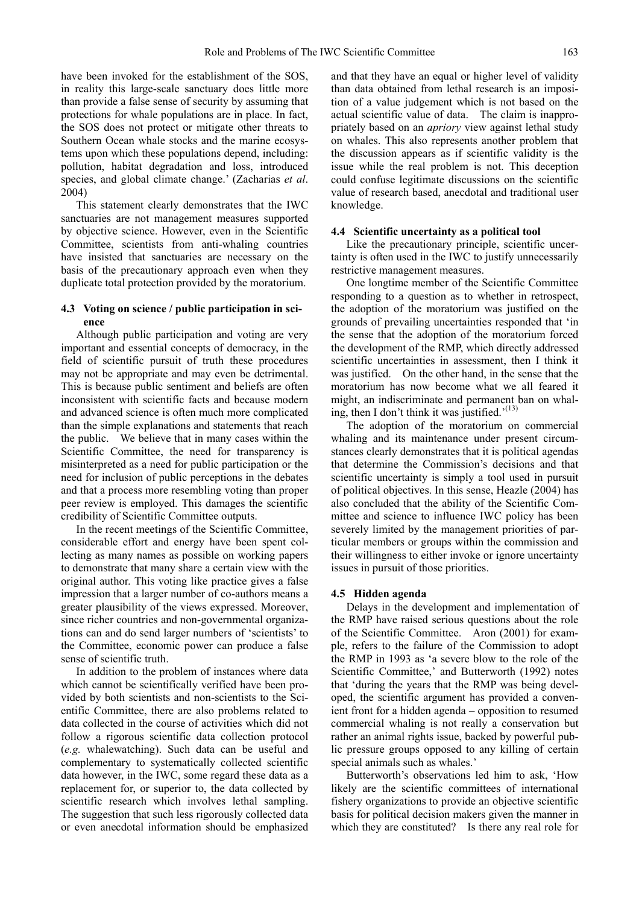have been invoked for the establishment of the SOS, in reality this large-scale sanctuary does little more than provide a false sense of security by assuming that protections for whale populations are in place. In fact, the SOS does not protect or mitigate other threats to Southern Ocean whale stocks and the marine ecosystems upon which these populations depend, including: pollution, habitat degradation and loss, introduced species, and global climate change.' (Zacharias *et al*. 2004)

This statement clearly demonstrates that the IWC sanctuaries are not management measures supported by objective science. However, even in the Scientific Committee, scientists from anti-whaling countries have insisted that sanctuaries are necessary on the basis of the precautionary approach even when they duplicate total protection provided by the moratorium.

# **4.3 Voting on science / public participation in science**

Although public participation and voting are very important and essential concepts of democracy, in the field of scientific pursuit of truth these procedures may not be appropriate and may even be detrimental. This is because public sentiment and beliefs are often inconsistent with scientific facts and because modern and advanced science is often much more complicated than the simple explanations and statements that reach the public. We believe that in many cases within the Scientific Committee, the need for transparency is misinterpreted as a need for public participation or the need for inclusion of public perceptions in the debates and that a process more resembling voting than proper peer review is employed. This damages the scientific credibility of Scientific Committee outputs.

In the recent meetings of the Scientific Committee, considerable effort and energy have been spent collecting as many names as possible on working papers to demonstrate that many share a certain view with the original author. This voting like practice gives a false impression that a larger number of co-authors means a greater plausibility of the views expressed. Moreover, since richer countries and non-governmental organizations can and do send larger numbers of 'scientists' to the Committee, economic power can produce a false sense of scientific truth.

In addition to the problem of instances where data which cannot be scientifically verified have been provided by both scientists and non-scientists to the Scientific Committee, there are also problems related to data collected in the course of activities which did not follow a rigorous scientific data collection protocol (*e.g.* whalewatching). Such data can be useful and complementary to systematically collected scientific data however, in the IWC, some regard these data as a replacement for, or superior to, the data collected by scientific research which involves lethal sampling. The suggestion that such less rigorously collected data or even anecdotal information should be emphasized and that they have an equal or higher level of validity than data obtained from lethal research is an imposition of a value judgement which is not based on the actual scientific value of data. The claim is inappropriately based on an *apriory* view against lethal study on whales. This also represents another problem that the discussion appears as if scientific validity is the issue while the real problem is not. This deception could confuse legitimate discussions on the scientific value of research based, anecdotal and traditional user knowledge.

## **4.4 Scientific uncertainty as a political tool**

Like the precautionary principle, scientific uncertainty is often used in the IWC to justify unnecessarily restrictive management measures.

One longtime member of the Scientific Committee responding to a question as to whether in retrospect, the adoption of the moratorium was justified on the grounds of prevailing uncertainties responded that 'in the sense that the adoption of the moratorium forced the development of the RMP, which directly addressed scientific uncertainties in assessment, then I think it was justified. On the other hand, in the sense that the moratorium has now become what we all feared it might, an indiscriminate and permanent ban on whaling, then I don't think it was justified.<sup> $(13)$ </sup>

The adoption of the moratorium on commercial whaling and its maintenance under present circumstances clearly demonstrates that it is political agendas that determine the Commission's decisions and that scientific uncertainty is simply a tool used in pursuit of political objectives. In this sense, Heazle (2004) has also concluded that the ability of the Scientific Committee and science to influence IWC policy has been severely limited by the management priorities of particular members or groups within the commission and their willingness to either invoke or ignore uncertainty issues in pursuit of those priorities.

#### **4.5 Hidden agenda**

Delays in the development and implementation of the RMP have raised serious questions about the role of the Scientific Committee. Aron (2001) for example, refers to the failure of the Commission to adopt the RMP in 1993 as 'a severe blow to the role of the Scientific Committee,' and Butterworth (1992) notes that 'during the years that the RMP was being developed, the scientific argument has provided a convenient front for a hidden agenda – opposition to resumed commercial whaling is not really a conservation but rather an animal rights issue, backed by powerful public pressure groups opposed to any killing of certain special animals such as whales.'

Butterworth's observations led him to ask, 'How likely are the scientific committees of international fishery organizations to provide an objective scientific basis for political decision makers given the manner in which they are constituted? Is there any real role for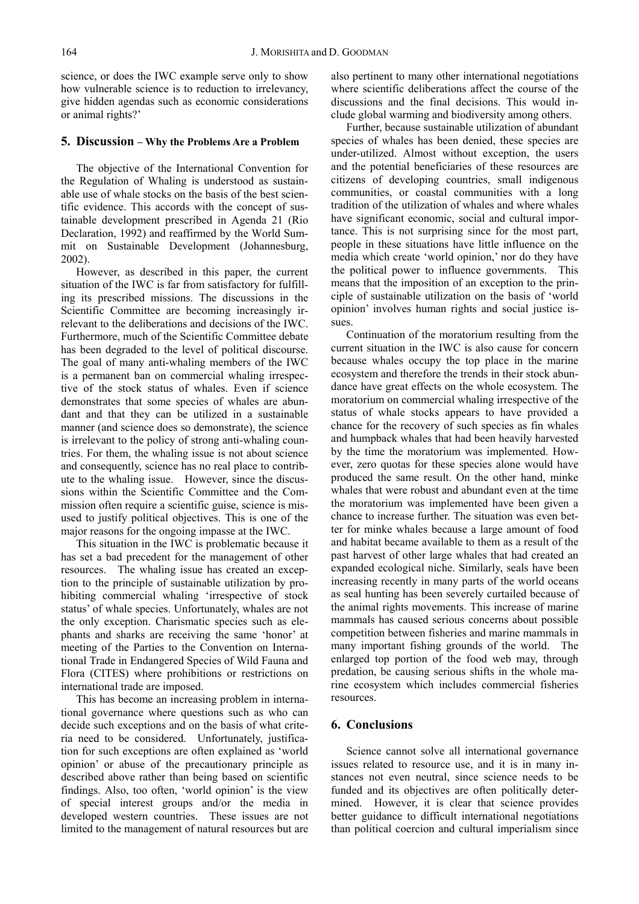science, or does the IWC example serve only to show how vulnerable science is to reduction to irrelevancy, give hidden agendas such as economic considerations or animal rights?'

## **5. Discussion – Why the Problems Are a Problem**

The objective of the International Convention for the Regulation of Whaling is understood as sustainable use of whale stocks on the basis of the best scientific evidence. This accords with the concept of sustainable development prescribed in Agenda 21 (Rio Declaration, 1992) and reaffirmed by the World Summit on Sustainable Development (Johannesburg, 2002).

However, as described in this paper, the current situation of the IWC is far from satisfactory for fulfilling its prescribed missions. The discussions in the Scientific Committee are becoming increasingly irrelevant to the deliberations and decisions of the IWC. Furthermore, much of the Scientific Committee debate has been degraded to the level of political discourse. The goal of many anti-whaling members of the IWC is a permanent ban on commercial whaling irrespective of the stock status of whales. Even if science demonstrates that some species of whales are abundant and that they can be utilized in a sustainable manner (and science does so demonstrate), the science is irrelevant to the policy of strong anti-whaling countries. For them, the whaling issue is not about science and consequently, science has no real place to contribute to the whaling issue. However, since the discussions within the Scientific Committee and the Commission often require a scientific guise, science is misused to justify political objectives. This is one of the major reasons for the ongoing impasse at the IWC.

This situation in the IWC is problematic because it has set a bad precedent for the management of other resources. The whaling issue has created an exception to the principle of sustainable utilization by prohibiting commercial whaling 'irrespective of stock status' of whale species. Unfortunately, whales are not the only exception. Charismatic species such as elephants and sharks are receiving the same 'honor' at meeting of the Parties to the Convention on International Trade in Endangered Species of Wild Fauna and Flora (CITES) where prohibitions or restrictions on international trade are imposed.

This has become an increasing problem in international governance where questions such as who can decide such exceptions and on the basis of what criteria need to be considered. Unfortunately, justification for such exceptions are often explained as 'world opinion' or abuse of the precautionary principle as described above rather than being based on scientific findings. Also, too often, 'world opinion' is the view of special interest groups and/or the media in developed western countries. These issues are not limited to the management of natural resources but are

also pertinent to many other international negotiations where scientific deliberations affect the course of the discussions and the final decisions. This would include global warming and biodiversity among others.

Further, because sustainable utilization of abundant species of whales has been denied, these species are under-utilized. Almost without exception, the users and the potential beneficiaries of these resources are citizens of developing countries, small indigenous communities, or coastal communities with a long tradition of the utilization of whales and where whales have significant economic, social and cultural importance. This is not surprising since for the most part, people in these situations have little influence on the media which create 'world opinion,' nor do they have the political power to influence governments. This means that the imposition of an exception to the principle of sustainable utilization on the basis of 'world opinion' involves human rights and social justice issues.

Continuation of the moratorium resulting from the current situation in the IWC is also cause for concern because whales occupy the top place in the marine ecosystem and therefore the trends in their stock abundance have great effects on the whole ecosystem. The moratorium on commercial whaling irrespective of the status of whale stocks appears to have provided a chance for the recovery of such species as fin whales and humpback whales that had been heavily harvested by the time the moratorium was implemented. However, zero quotas for these species alone would have produced the same result. On the other hand, minke whales that were robust and abundant even at the time the moratorium was implemented have been given a chance to increase further. The situation was even better for minke whales because a large amount of food and habitat became available to them as a result of the past harvest of other large whales that had created an expanded ecological niche. Similarly, seals have been increasing recently in many parts of the world oceans as seal hunting has been severely curtailed because of the animal rights movements. This increase of marine mammals has caused serious concerns about possible competition between fisheries and marine mammals in many important fishing grounds of the world. The enlarged top portion of the food web may, through predation, be causing serious shifts in the whole marine ecosystem which includes commercial fisheries resources.

# **6. Conclusions**

Science cannot solve all international governance issues related to resource use, and it is in many instances not even neutral, since science needs to be funded and its objectives are often politically determined. However, it is clear that science provides better guidance to difficult international negotiations than political coercion and cultural imperialism since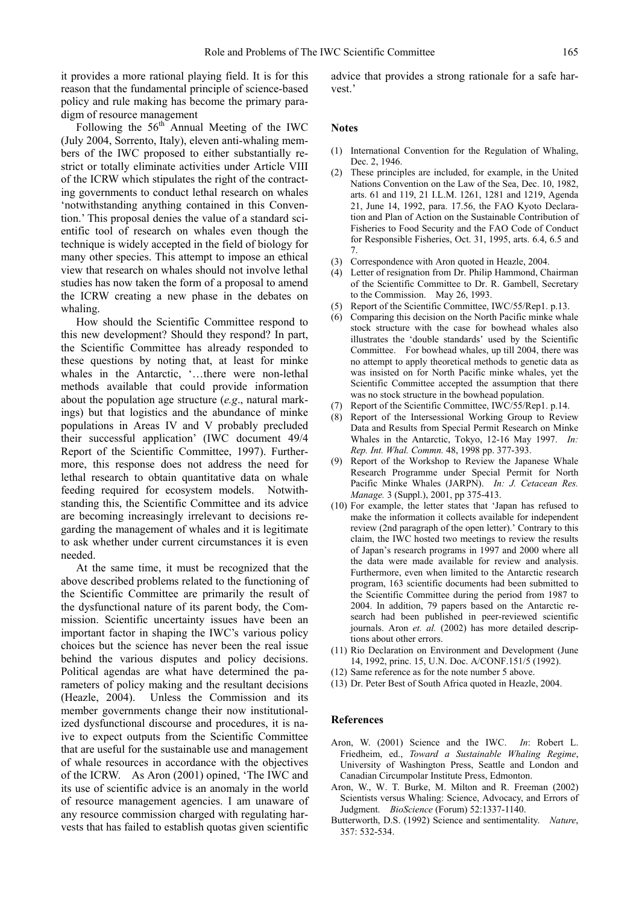it provides a more rational playing field. It is for this reason that the fundamental principle of science-based policy and rule making has become the primary paradigm of resource management

Following the  $56<sup>th</sup>$  Annual Meeting of the IWC (July 2004, Sorrento, Italy), eleven anti-whaling members of the IWC proposed to either substantially restrict or totally eliminate activities under Article VIII of the ICRW which stipulates the right of the contracting governments to conduct lethal research on whales 'notwithstanding anything contained in this Convention.' This proposal denies the value of a standard scientific tool of research on whales even though the technique is widely accepted in the field of biology for many other species. This attempt to impose an ethical view that research on whales should not involve lethal studies has now taken the form of a proposal to amend the ICRW creating a new phase in the debates on whaling.

How should the Scientific Committee respond to this new development? Should they respond? In part, the Scientific Committee has already responded to these questions by noting that, at least for minke whales in the Antarctic, '…there were non-lethal methods available that could provide information about the population age structure (*e.g*., natural markings) but that logistics and the abundance of minke populations in Areas IV and V probably precluded their successful application' (IWC document 49/4 Report of the Scientific Committee, 1997). Furthermore, this response does not address the need for lethal research to obtain quantitative data on whale feeding required for ecosystem models. Notwithstanding this, the Scientific Committee and its advice are becoming increasingly irrelevant to decisions regarding the management of whales and it is legitimate to ask whether under current circumstances it is even needed.

At the same time, it must be recognized that the above described problems related to the functioning of the Scientific Committee are primarily the result of the dysfunctional nature of its parent body, the Commission. Scientific uncertainty issues have been an important factor in shaping the IWC's various policy choices but the science has never been the real issue behind the various disputes and policy decisions. Political agendas are what have determined the parameters of policy making and the resultant decisions (Heazle, 2004). Unless the Commission and its member governments change their now institutionalized dysfunctional discourse and procedures, it is naive to expect outputs from the Scientific Committee that are useful for the sustainable use and management of whale resources in accordance with the objectives of the ICRW. As Aron (2001) opined, 'The IWC and its use of scientific advice is an anomaly in the world of resource management agencies. I am unaware of any resource commission charged with regulating harvests that has failed to establish quotas given scientific

advice that provides a strong rationale for a safe harvest.'

## **Notes**

- (1) International Convention for the Regulation of Whaling, Dec. 2, 1946.
- (2) These principles are included, for example, in the United Nations Convention on the Law of the Sea, Dec. 10, 1982, arts. 61 and 119, 21 I.L.M. 1261, 1281 and 1219, Agenda 21, June 14, 1992, para. 17.56, the FAO Kyoto Declaration and Plan of Action on the Sustainable Contribution of Fisheries to Food Security and the FAO Code of Conduct for Responsible Fisheries, Oct. 31, 1995, arts. 6.4, 6.5 and 7.
- (3) Correspondence with Aron quoted in Heazle, 2004.
- (4) Letter of resignation from Dr. Philip Hammond, Chairman of the Scientific Committee to Dr. R. Gambell, Secretary to the Commission. May 26, 1993.
- (5) Report of the Scientific Committee, IWC/55/Rep1. p.13.
- (6) Comparing this decision on the North Pacific minke whale stock structure with the case for bowhead whales also illustrates the 'double standards' used by the Scientific Committee. For bowhead whales, up till 2004, there was no attempt to apply theoretical methods to genetic data as was insisted on for North Pacific minke whales, yet the Scientific Committee accepted the assumption that there was no stock structure in the bowhead population.
- (7) Report of the Scientific Committee, IWC/55/Rep1. p.14.
- (8) Report of the Intersessional Working Group to Review Data and Results from Special Permit Research on Minke Whales in the Antarctic, Tokyo, 12-16 May 1997. *In: Rep. Int. Whal. Commn.* 48, 1998 pp. 377-393.
- (9) Report of the Workshop to Review the Japanese Whale Research Programme under Special Permit for North Pacific Minke Whales (JARPN). *In: J. Cetacean Res. Manage.* 3 (Suppl.), 2001, pp 375-413.
- (10) For example, the letter states that 'Japan has refused to make the information it collects available for independent review (2nd paragraph of the open letter).' Contrary to this claim, the IWC hosted two meetings to review the results of Japan's research programs in 1997 and 2000 where all the data were made available for review and analysis. Furthermore, even when limited to the Antarctic research program, 163 scientific documents had been submitted to the Scientific Committee during the period from 1987 to 2004. In addition, 79 papers based on the Antarctic research had been published in peer-reviewed scientific journals. Aron *et. al.* (2002) has more detailed descriptions about other errors.
- (11) Rio Declaration on Environment and Development (June 14, 1992, princ. 15, U.N. Doc. A/CONF.151/5 (1992).
- (12) Same reference as for the note number 5 above.
- (13) Dr. Peter Best of South Africa quoted in Heazle, 2004.

## **References**

- Aron, W. (2001) Science and the IWC. *In*: Robert L. Friedheim, ed., *Toward a Sustainable Whaling Regime*, University of Washington Press, Seattle and London and Canadian Circumpolar Institute Press, Edmonton.
- Aron, W., W. T. Burke, M. Milton and R. Freeman (2002) Scientists versus Whaling: Science, Advocacy, and Errors of Judgment. *BioScience* (Forum) 52:1337-1140.
- Butterworth, D.S. (1992) Science and sentimentality. *Nature*, 357: 532-534.